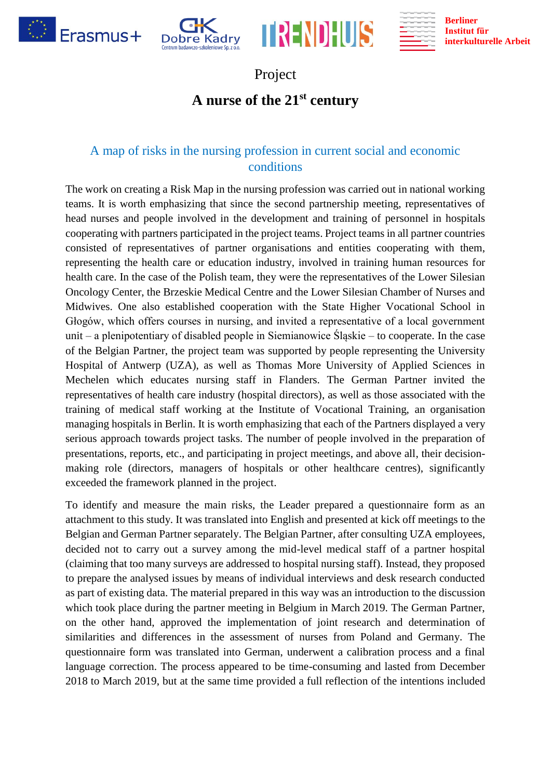







## Project

## **A nurse of the 21st century**

## A map of risks in the nursing profession in current social and economic conditions

The work on creating a Risk Map in the nursing profession was carried out in national working teams. It is worth emphasizing that since the second partnership meeting, representatives of head nurses and people involved in the development and training of personnel in hospitals cooperating with partners participated in the project teams. Project teams in all partner countries consisted of representatives of partner organisations and entities cooperating with them, representing the health care or education industry, involved in training human resources for health care. In the case of the Polish team, they were the representatives of the Lower Silesian Oncology Center, the Brzeskie Medical Centre and the Lower Silesian Chamber of Nurses and Midwives. One also established cooperation with the State Higher Vocational School in Głogów, which offers courses in nursing, and invited a representative of a local government unit – a plenipotentiary of disabled people in Siemianowice Śląskie – to cooperate. In the case of the Belgian Partner, the project team was supported by people representing the University Hospital of Antwerp (UZA), as well as Thomas More University of Applied Sciences in Mechelen which educates nursing staff in Flanders. The German Partner invited the representatives of health care industry (hospital directors), as well as those associated with the training of medical staff working at the Institute of Vocational Training, an organisation managing hospitals in Berlin. It is worth emphasizing that each of the Partners displayed a very serious approach towards project tasks. The number of people involved in the preparation of presentations, reports, etc., and participating in project meetings, and above all, their decisionmaking role (directors, managers of hospitals or other healthcare centres), significantly exceeded the framework planned in the project.

To identify and measure the main risks, the Leader prepared a questionnaire form as an attachment to this study. It was translated into English and presented at kick off meetings to the Belgian and German Partner separately. The Belgian Partner, after consulting UZA employees, decided not to carry out a survey among the mid-level medical staff of a partner hospital (claiming that too many surveys are addressed to hospital nursing staff). Instead, they proposed to prepare the analysed issues by means of individual interviews and desk research conducted as part of existing data. The material prepared in this way was an introduction to the discussion which took place during the partner meeting in Belgium in March 2019. The German Partner, on the other hand, approved the implementation of joint research and determination of similarities and differences in the assessment of nurses from Poland and Germany. The questionnaire form was translated into German, underwent a calibration process and a final language correction. The process appeared to be time-consuming and lasted from December 2018 to March 2019, but at the same time provided a full reflection of the intentions included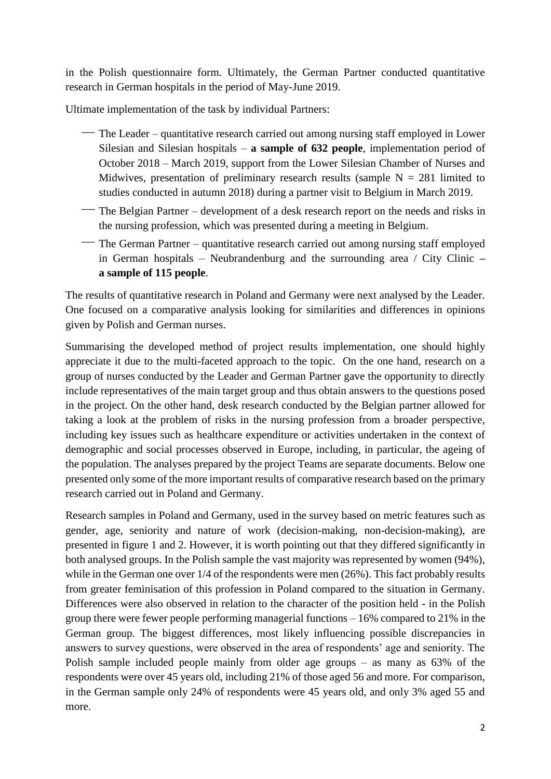in the Polish questionnaire form. Ultimately, the German Partner conducted quantitative research in German hospitals in the period of May-June 2019.

Ultimate implementation of the task by individual Partners:

- ⎯ The Leader quantitative research carried out among nursing staff employed in Lower Silesian and Silesian hospitals – **a sample of 632 people**, implementation period of October 2018 – March 2019, support from the Lower Silesian Chamber of Nurses and Midwives, presentation of preliminary research results (sample  $N = 281$  limited to studies conducted in autumn 2018) during a partner visit to Belgium in March 2019.
- ⎯ The Belgian Partner development of a desk research report on the needs and risks in the nursing profession, which was presented during a meeting in Belgium.
- The German Partner quantitative research carried out among nursing staff employed in German hospitals – Neubrandenburg and the surrounding area / City Clinic **– a sample of 115 people**.

The results of quantitative research in Poland and Germany were next analysed by the Leader. One focused on a comparative analysis looking for similarities and differences in opinions given by Polish and German nurses.

Summarising the developed method of project results implementation, one should highly appreciate it due to the multi-faceted approach to the topic. On the one hand, research on a group of nurses conducted by the Leader and German Partner gave the opportunity to directly include representatives of the main target group and thus obtain answers to the questions posed in the project. On the other hand, desk research conducted by the Belgian partner allowed for taking a look at the problem of risks in the nursing profession from a broader perspective, including key issues such as healthcare expenditure or activities undertaken in the context of demographic and social processes observed in Europe, including, in particular, the ageing of the population. The analyses prepared by the project Teams are separate documents. Below one presented only some of the more important results of comparative research based on the primary research carried out in Poland and Germany.

Research samples in Poland and Germany, used in the survey based on metric features such as gender, age, seniority and nature of work (decision-making, non-decision-making), are presented in figure 1 and 2. However, it is worth pointing out that they differed significantly in both analysed groups. In the Polish sample the vast majority was represented by women (94%), while in the German one over  $1/4$  of the respondents were men (26%). This fact probably results from greater feminisation of this profession in Poland compared to the situation in Germany. Differences were also observed in relation to the character of the position held - in the Polish group there were fewer people performing managerial functions – 16% compared to 21% in the German group. The biggest differences, most likely influencing possible discrepancies in answers to survey questions, were observed in the area of respondents' age and seniority. The Polish sample included people mainly from older age groups – as many as 63% of the respondents were over 45 years old, including 21% of those aged 56 and more. For comparison, in the German sample only 24% of respondents were 45 years old, and only 3% aged 55 and more.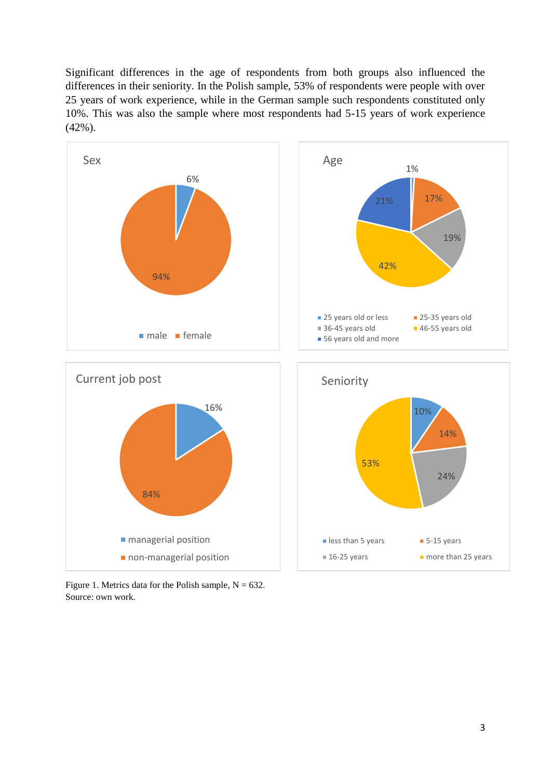Significant differences in the age of respondents from both groups also influenced the differences in their seniority. In the Polish sample, 53% of respondents were people with over 25 years of work experience, while in the German sample such respondents constituted only 10%. This was also the sample where most respondents had 5-15 years of work experience (42%).



Figure 1. Metrics data for the Polish sample,  $N = 632$ . Source: own work.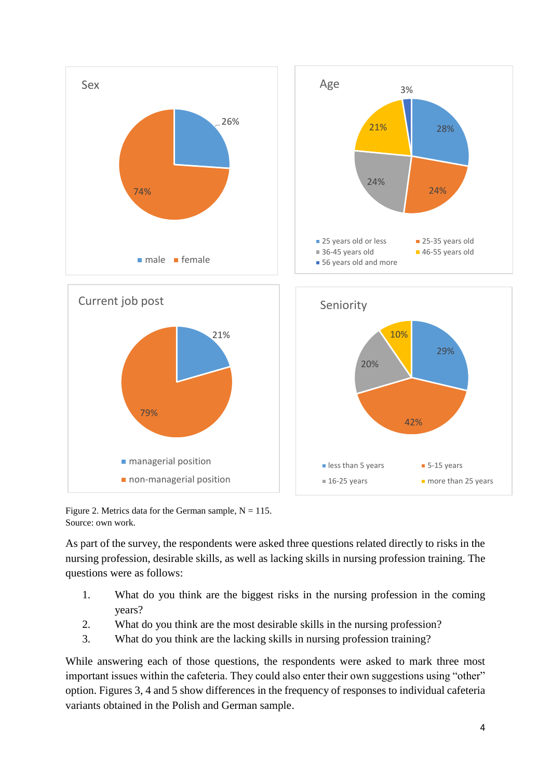

Figure 2. Metrics data for the German sample,  $N = 115$ . Source: own work.

As part of the survey, the respondents were asked three questions related directly to risks in the nursing profession, desirable skills, as well as lacking skills in nursing profession training. The questions were as follows:

- 1. What do you think are the biggest risks in the nursing profession in the coming years?
- 2. What do you think are the most desirable skills in the nursing profession?
- 3. What do you think are the lacking skills in nursing profession training?

While answering each of those questions, the respondents were asked to mark three most important issues within the cafeteria. They could also enter their own suggestions using "other" option. Figures 3, 4 and 5 show differences in the frequency of responses to individual cafeteria variants obtained in the Polish and German sample.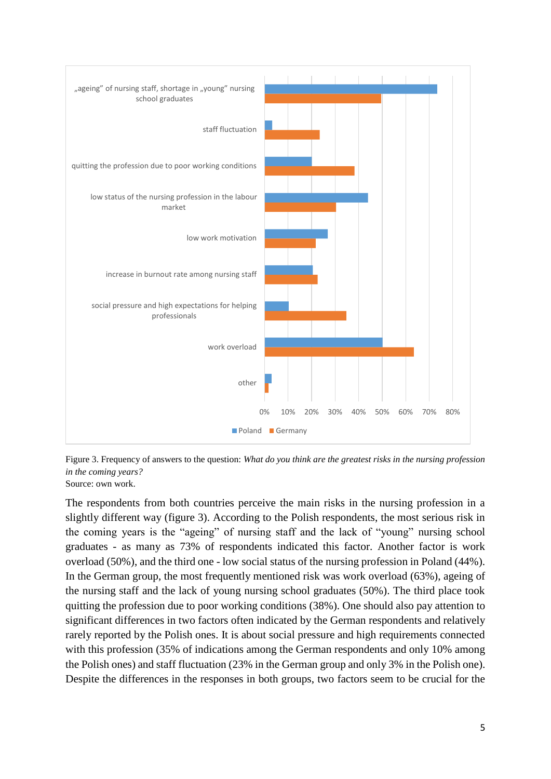

Figure 3. Frequency of answers to the question: *What do you think are the greatest risks in the nursing profession in the coming years?* Source: own work.

The respondents from both countries perceive the main risks in the nursing profession in a slightly different way (figure 3). According to the Polish respondents, the most serious risk in the coming years is the "ageing" of nursing staff and the lack of "young" nursing school graduates - as many as 73% of respondents indicated this factor. Another factor is work overload (50%), and the third one - low social status of the nursing profession in Poland (44%). In the German group, the most frequently mentioned risk was work overload (63%), ageing of the nursing staff and the lack of young nursing school graduates (50%). The third place took quitting the profession due to poor working conditions (38%). One should also pay attention to significant differences in two factors often indicated by the German respondents and relatively rarely reported by the Polish ones. It is about social pressure and high requirements connected with this profession (35% of indications among the German respondents and only 10% among the Polish ones) and staff fluctuation (23% in the German group and only 3% in the Polish one). Despite the differences in the responses in both groups, two factors seem to be crucial for the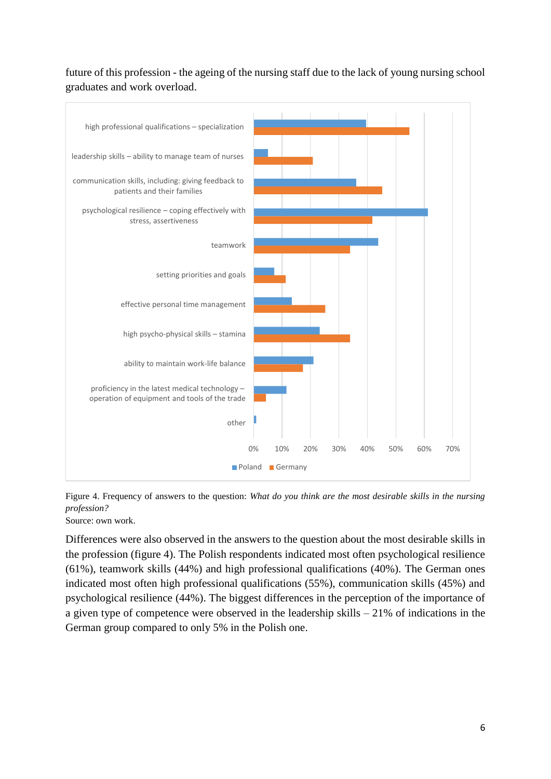future of this profession - the ageing of the nursing staff due to the lack of young nursing school graduates and work overload.



Figure 4. Frequency of answers to the question: *What do you think are the most desirable skills in the nursing profession?*

Source: own work.

Differences were also observed in the answers to the question about the most desirable skills in the profession (figure 4). The Polish respondents indicated most often psychological resilience (61%), teamwork skills (44%) and high professional qualifications (40%). The German ones indicated most often high professional qualifications (55%), communication skills (45%) and psychological resilience (44%). The biggest differences in the perception of the importance of a given type of competence were observed in the leadership skills – 21% of indications in the German group compared to only 5% in the Polish one.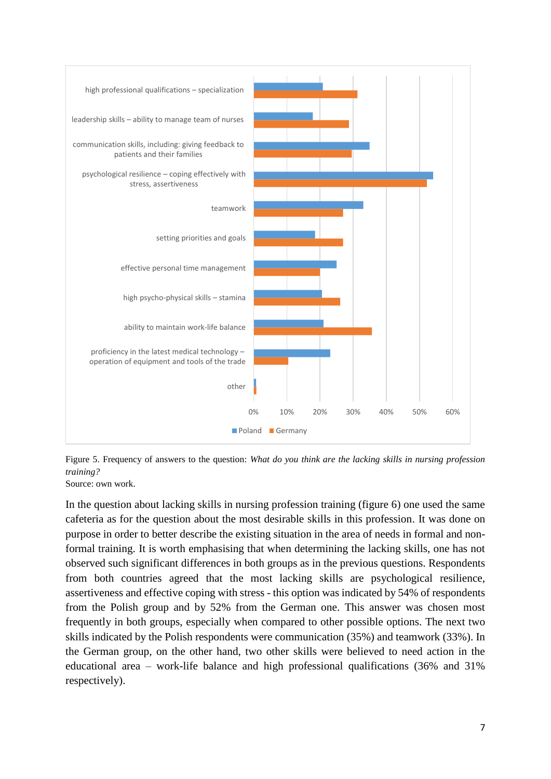

Figure 5. Frequency of answers to the question: *What do you think are the lacking skills in nursing profession training?*

Source: own work.

In the question about lacking skills in nursing profession training (figure 6) one used the same cafeteria as for the question about the most desirable skills in this profession. It was done on purpose in order to better describe the existing situation in the area of needs in formal and nonformal training. It is worth emphasising that when determining the lacking skills, one has not observed such significant differences in both groups as in the previous questions. Respondents from both countries agreed that the most lacking skills are psychological resilience, assertiveness and effective coping with stress - this option was indicated by 54% of respondents from the Polish group and by 52% from the German one. This answer was chosen most frequently in both groups, especially when compared to other possible options. The next two skills indicated by the Polish respondents were communication (35%) and teamwork (33%). In the German group, on the other hand, two other skills were believed to need action in the educational area – work-life balance and high professional qualifications (36% and 31% respectively).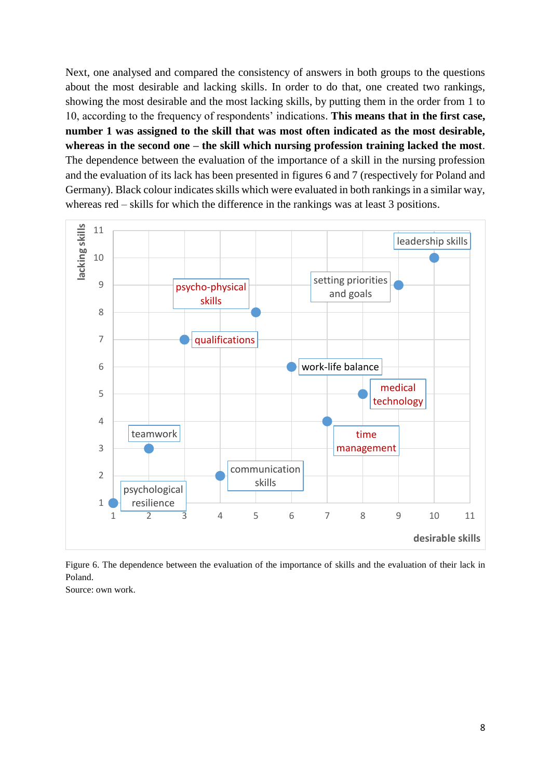Next, one analysed and compared the consistency of answers in both groups to the questions about the most desirable and lacking skills. In order to do that, one created two rankings, showing the most desirable and the most lacking skills, by putting them in the order from 1 to 10, according to the frequency of respondents' indications. **This means that in the first case, number 1 was assigned to the skill that was most often indicated as the most desirable, whereas in the second one – the skill which nursing profession training lacked the most**. The dependence between the evaluation of the importance of a skill in the nursing profession and the evaluation of its lack has been presented in figures 6 and 7 (respectively for Poland and Germany). Black colour indicates skills which were evaluated in both rankings in a similar way, whereas red – skills for which the difference in the rankings was at least 3 positions.



Figure 6. The dependence between the evaluation of the importance of skills and the evaluation of their lack in Poland.

Source: own work.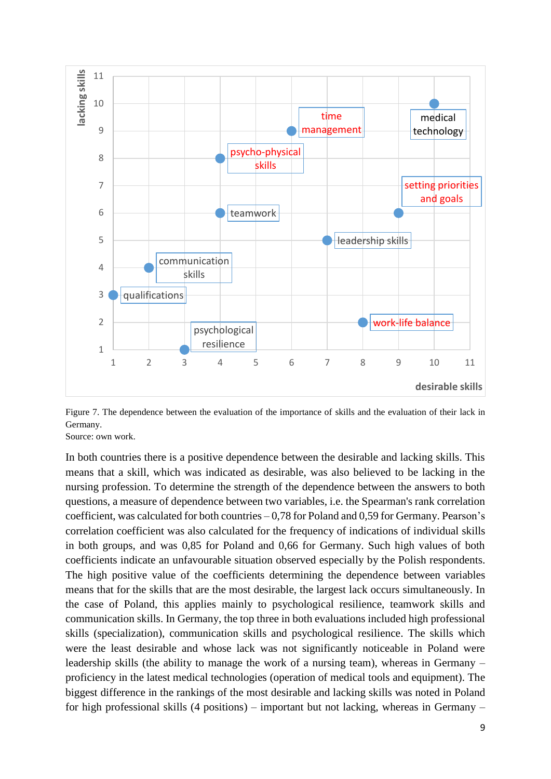

Figure 7. The dependence between the evaluation of the importance of skills and the evaluation of their lack in Germany.

Source: own work.

In both countries there is a positive dependence between the desirable and lacking skills. This means that a skill, which was indicated as desirable, was also believed to be lacking in the nursing profession. To determine the strength of the dependence between the answers to both questions, a measure of dependence between two variables, i.e. the Spearman's rank correlation coefficient, was calculated for both countries  $-0.78$  for Poland and 0.59 for Germany. Pearson's correlation coefficient was also calculated for the frequency of indications of individual skills in both groups, and was 0,85 for Poland and 0,66 for Germany. Such high values of both coefficients indicate an unfavourable situation observed especially by the Polish respondents. The high positive value of the coefficients determining the dependence between variables means that for the skills that are the most desirable, the largest lack occurs simultaneously. In the case of Poland, this applies mainly to psychological resilience, teamwork skills and communication skills. In Germany, the top three in both evaluations included high professional skills (specialization), communication skills and psychological resilience. The skills which were the least desirable and whose lack was not significantly noticeable in Poland were leadership skills (the ability to manage the work of a nursing team), whereas in Germany – proficiency in the latest medical technologies (operation of medical tools and equipment). The biggest difference in the rankings of the most desirable and lacking skills was noted in Poland for high professional skills (4 positions) – important but not lacking, whereas in Germany –